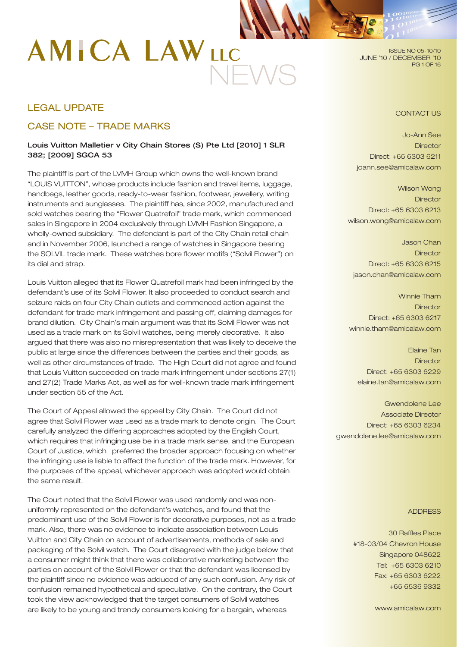# NEWS

ISSUE NO 05-10/10 JUNE '10 / DECEMBER '10 PG 1 OF 16

# LEGAL UPDATE

# CASE NOTE – TRADE MARKS

# Louis Vuitton Malletier v City Chain Stores (S) Pte Ltd [2010] 1 SLR 382; [2009] SGCA 53

The plaintiff is part of the LVMH Group which owns the well-known brand "LOUIS VUITTON", whose products include fashion and travel items, luggage, handbags, leather goods, ready-to-wear fashion, footwear, jewellery, writing instruments and sunglasses. The plaintiff has, since 2002, manufactured and sold watches bearing the "Flower Quatrefoil" trade mark, which commenced sales in Singapore in 2004 exclusively through LVMH Fashion Singapore, a wholly-owned subsidiary. The defendant is part of the City Chain retail chain and in November 2006, launched a range of watches in Singapore bearing the SOLVIL trade mark. These watches bore flower motifs ("Solvil Flower") on its dial and strap.

Louis Vuitton alleged that its Flower Quatrefoil mark had been infringed by the defendant's use of its Solvil Flower. It also proceeded to conduct search and seizure raids on four City Chain outlets and commenced action against the defendant for trade mark infringement and passing off, claiming damages for brand dilution. City Chain's main argument was that its Solvil Flower was not used as a trade mark on its Solvil watches, being merely decorative. It also argued that there was also no misrepresentation that was likely to deceive the public at large since the differences between the parties and their goods, as well as other circumstances of trade. The High Court did not agree and found that Louis Vuitton succeeded on trade mark infringement under sections 27(1) and 27(2) Trade Marks Act, as well as for well-known trade mark infringement under section 55 of the Act.

The Court of Appeal allowed the appeal by City Chain. The Court did not agree that Solvil Flower was used as a trade mark to denote origin. The Court carefully analyzed the differing approaches adopted by the English Court, which requires that infringing use be in a trade mark sense, and the European Court of Justice, which preferred the broader approach focusing on whether the infringing use is liable to affect the function of the trade mark. However, for the purposes of the appeal, whichever approach was adopted would obtain the same result.

The Court noted that the Solvil Flower was used randomly and was nonuniformly represented on the defendant's watches, and found that the predominant use of the Solvil Flower is for decorative purposes, not as a trade mark. Also, there was no evidence to indicate association between Louis Vuitton and City Chain on account of advertisements, methods of sale and packaging of the Solvil watch. The Court disagreed with the judge below that a consumer might think that there was collaborative marketing between the parties on account of the Solvil Flower or that the defendant was licensed by the plaintiff since no evidence was adduced of any such confusion. Any risk of confusion remained hypothetical and speculative. On the contrary, the Court took the view acknowledged that the target consumers of Solvil watches are likely to be young and trendy consumers looking for a bargain, whereas

CONTACT US

Jo-Ann See **Director** Direct: +65 6303 6211 joann.see@amicalaw.com

Wilson Wong **Director** Direct: +65 6303 6213 wilson.wong@amicalaw.com

Jason Chan **Director** Direct: +65 6303 6215 jason.chan@amicalaw.com

Winnie Tham **Director** Direct: +65 6303 6217 winnie.tham@amicalaw.com

Elaine Tan **Director** Direct: +65 6303 6229 elaine.tan@amicalaw.com

Gwendolene Lee Associate Director Direct: +65 6303 6234 gwendolene.lee@amicalaw.com

#### ADDRESS

30 Raffles Place #18-03/04 Chevron House Singapore 048622 Tel: +65 6303 6210 Fax: +65 6303 6222 +65 6536 9332

www.amicalaw.com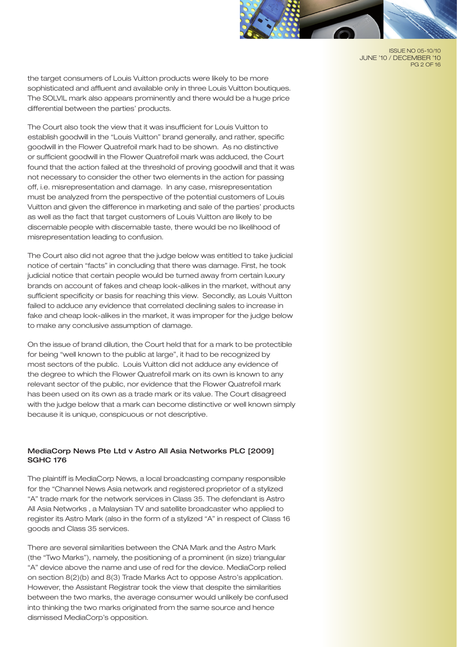

ISSUE NO 05-10/10 JUNE '10 / DECEMBER '10 PG 2 OF 16

the target consumers of Louis Vuitton products were likely to be more sophisticated and affluent and available only in three Louis Vuitton boutiques. The SOLVIL mark also appears prominently and there would be a huge price differential between the parties' products.

The Court also took the view that it was insufficient for Louis Vuitton to establish goodwill in the "Louis Vuitton" brand generally, and rather, specific goodwill in the Flower Quatrefoil mark had to be shown. As no distinctive or sufficient goodwill in the Flower Quatrefoil mark was adduced, the Court found that the action failed at the threshold of proving goodwill and that it was not necessary to consider the other two elements in the action for passing off, i.e. misrepresentation and damage. In any case, misrepresentation must be analyzed from the perspective of the potential customers of Louis Vuitton and given the difference in marketing and sale of the parties' products as well as the fact that target customers of Louis Vuitton are likely to be discernable people with discernable taste, there would be no likelihood of misrepresentation leading to confusion.

The Court also did not agree that the judge below was entitled to take judicial notice of certain "facts" in concluding that there was damage. First, he took judicial notice that certain people would be turned away from certain luxury brands on account of fakes and cheap look-alikes in the market, without any sufficient specificity or basis for reaching this view. Secondly, as Louis Vuitton failed to adduce any evidence that correlated declining sales to increase in fake and cheap look-alikes in the market, it was improper for the judge below to make any conclusive assumption of damage.

On the issue of brand dilution, the Court held that for a mark to be protectible for being "well known to the public at large", it had to be recognized by most sectors of the public. Louis Vuitton did not adduce any evidence of the degree to which the Flower Quatrefoil mark on its own is known to any relevant sector of the public, nor evidence that the Flower Quatrefoil mark has been used on its own as a trade mark or its value. The Court disagreed with the judge below that a mark can become distinctive or well known simply because it is unique, conspicuous or not descriptive.

# MediaCorp News Pte Ltd v Astro All Asia Networks PLC [2009] SGHC 176

The plaintiff is MediaCorp News, a local broadcasting company responsible for the "Channel News Asia network and registered proprietor of a stylized "A" trade mark for the network services in Class 35. The defendant is Astro All Asia Networks , a Malaysian TV and satellite broadcaster who applied to register its Astro Mark (also in the form of a stylized "A" in respect of Class 16 goods and Class 35 services.

There are several similarities between the CNA Mark and the Astro Mark (the "Two Marks"), namely, the positioning of a prominent (in size) triangular "A" device above the name and use of red for the device. MediaCorp relied on section 8(2)(b) and 8(3) Trade Marks Act to oppose Astro's application. However, the Assistant Registrar took the view that despite the similarities between the two marks, the average consumer would unlikely be confused into thinking the two marks originated from the same source and hence dismissed MediaCorp's opposition.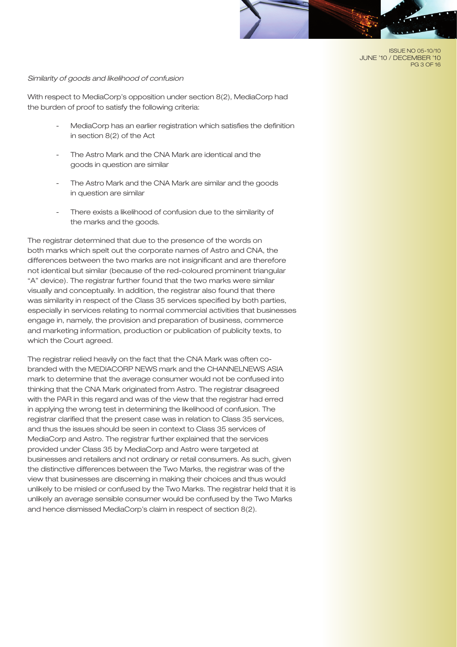ISSUE NO 05-10/10 JUNE '10 / DECEMBER '10 PG 3 OF 16

#### *Similarity of goods and likelihood of confusion*

With respect to MediaCorp's opposition under section 8(2), MediaCorp had the burden of proof to satisfy the following criteria:

- MediaCorp has an earlier registration which satisfies the definition in section 8(2) of the Act
- The Astro Mark and the CNA Mark are identical and the goods in question are similar
- The Astro Mark and the CNA Mark are similar and the goods in question are similar
- There exists a likelihood of confusion due to the similarity of the marks and the goods.

The registrar determined that due to the presence of the words on both marks which spelt out the corporate names of Astro and CNA, the differences between the two marks are not insignificant and are therefore not identical but similar (because of the red-coloured prominent triangular "A" device). The registrar further found that the two marks were similar visually and conceptually. In addition, the registrar also found that there was similarity in respect of the Class 35 services specified by both parties, especially in services relating to normal commercial activities that businesses engage in, namely, the provision and preparation of business, commerce and marketing information, production or publication of publicity texts, to which the Court agreed.

The registrar relied heavily on the fact that the CNA Mark was often cobranded with the MEDIACORP NEWS mark and the CHANNELNEWS ASIA mark to determine that the average consumer would not be confused into thinking that the CNA Mark originated from Astro. The registrar disagreed with the PAR in this regard and was of the view that the registrar had erred in applying the wrong test in determining the likelihood of confusion. The registrar clarified that the present case was in relation to Class 35 services, and thus the issues should be seen in context to Class 35 services of MediaCorp and Astro. The registrar further explained that the services provided under Class 35 by MediaCorp and Astro were targeted at businesses and retailers and not ordinary or retail consumers. As such, given the distinctive differences between the Two Marks, the registrar was of the view that businesses are discerning in making their choices and thus would unlikely to be misled or confused by the Two Marks. The registrar held that it is unlikely an average sensible consumer would be confused by the Two Marks and hence dismissed MediaCorp's claim in respect of section 8(2).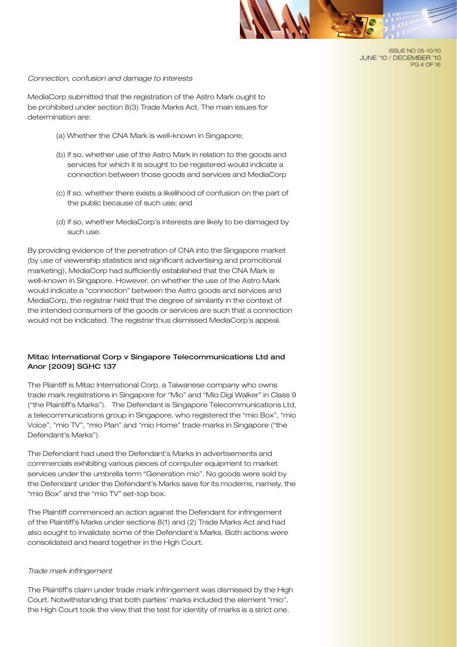

#### *Connection, confusion and damage to interests*

MediaCorp submitted that the registration of the Astro Mark ought to be prohibited under section 8(3) Trade Marks Act. The main issues for determination are:

- (a) Whether the CNA Mark is well-known in Singapore;
- (b) If so, whether use of the Astro Mark in relation to the goods and services for which it is sought to be registered would indicate a connection between those goods and services and MediaCorp
- (c) If so, whether there exists a likelihood of confusion on the part of the public because of such use; and
- (d) If so, whether MediaCorp's interests are likely to be damaged by such use.

By providing evidence of the penetration of CNA into the Singapore market (by use of viewership statistics and significant advertising and promotional marketing), MediaCorp had sufficiently established that the CNA Mark is well-known in Singapore. However, on whether the use of the Astro Mark would indicate a "connection" between the Astro goods and services and MediaCorp, the registrar held that the degree of similarity in the context of the intended consumers of the goods or services are such that a connection would not be indicated. The registrar thus dismissed MediaCorp's appeal.

## Mitac International Corp v Singapore Telecommunications Ltd and Anor [2009] SGHC 137

The Plaintiff is Mitac International Corp, a Taiwanese company who owns trade mark registrations in Singapore for "Mio" and "Mio Digi Walker" in Class 9 ("the Plaintiff's Marks"). The Defendant is Singapore Telecommunications Ltd, a telecommunications group in Singapore, who registered the "mio Box", "mio Voice", "mio TV", "mio Plan" and "mio Home" trade marks in Singapore ("the Defendant's Marks").

The Defendant had used the Defendant's Marks in advertisements and commercials exhibiting various pieces of computer equipment to market services under the umbrella term "Generation mio". No goods were sold by the Defendant under the Defendant's Marks save for its modems, namely, the "mio Box" and the "mio TV" set-top box.

The Plaintiff commenced an action against the Defendant for infringement of the Plaintiff's Marks under sections 8(1) and (2) Trade Marks Act and had also sought to invalidate some of the Defendant's Marks. Both actions were consolidated and heard together in the High Court.

#### *Trade mark infringement*

The Plaintiff's claim under trade mark infringement was dismissed by the High Court. Notwithstanding that both parties' marks included the element "mio", the High Court took the view that the test for identity of marks is a strict one.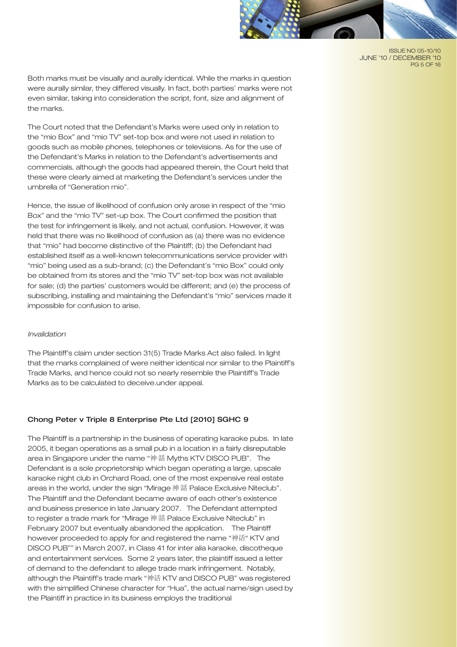

ISSUE NO 05-10/10 JUNE '10 / DECEMBER '10 PG 5 OF 16

Both marks must be visually and aurally identical. While the marks in question were aurally similar, they differed visually. In fact, both parties' marks were not even similar, taking into consideration the script, font, size and alignment of the marks.

The Court noted that the Defendant's Marks were used only in relation to the "mio Box" and "mio TV" set-top box and were not used in relation to goods such as mobile phones, telephones or televisions. As for the use of the Defendant's Marks in relation to the Defendant's advertisements and commercials, although the goods had appeared therein, the Court held that these were clearly aimed at marketing the Defendant's services under the umbrella of "Generation mio".

Hence, the issue of likelihood of confusion only arose in respect of the "mio Box" and the "mio TV" set-up box. The Court confirmed the position that the test for infringement is likely, and not actual, confusion. However, it was held that there was no likelihood of confusion as (a) there was no evidence that "mio" had become distinctive of the Plaintiff; (b) the Defendant had established itself as a well-known telecommunications service provider with "mio" being used as a sub-brand; (c) the Defendant's "mio Box" could only be obtained from its stores and the "mio TV" set-top box was not available for sale; (d) the parties' customers would be different; and (e) the process of subscribing, installing and maintaining the Defendant's "mio" services made it impossible for confusion to arise.

#### *Invalidation*

The Plaintiff's claim under section 31(5) Trade Marks Act also failed. In light that the marks complained of were neither identical nor similar to the Plaintiff's Trade Marks, and hence could not so nearly resemble the Plaintiff's Trade Marks as to be calculated to deceive.under appeal.

#### Chong Peter v Triple 8 Enterprise Pte Ltd [2010] SGHC 9

The Plaintiff is a partnership in the business of operating karaoke pubs. In late 2005, it began operations as a small pub in a location in a fairly disreputable area in Singapore under the name "神 話 Myths KTV DISCO PUB". The Defendant is a sole proprietorship which began operating a large, upscale karaoke night club in Orchard Road, one of the most expensive real estate areas in the world, under the sign "Mirage 神 話 Palace Exclusive Niteclub". The Plaintiff and the Defendant became aware of each other's existence and business presence in late January 2007. The Defendant attempted to register a trade mark for "Mirage 神 話 Palace Exclusive Niteclub" in February 2007 but eventually abandoned the application. The Plaintiff however proceeded to apply for and registered the name "神话" KTV and DISCO PUB"" in March 2007, in Class 41 for inter alia karaoke, discotheque and entertainment services. Some 2 years later, the plaintiff issued a letter of demand to the defendant to allege trade mark infringement. Notably, although the Plaintiff's trade mark "神话 KTV and DISCO PUB" was registered with the simplified Chinese character for "Hua", the actual name/sign used by the Plaintiff in practice in its business employs the traditional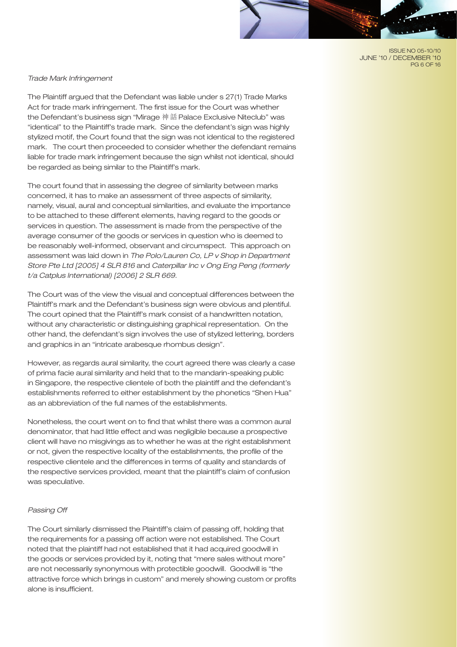ISSUE NO 05-10/10 JUNE '10 / DECEMBER '10 PG 6 OF 16

## *Trade Mark Infringement*

The Plaintiff argued that the Defendant was liable under s 27(1) Trade Marks Act for trade mark infringement. The first issue for the Court was whether the Defendant's business sign "Mirage 神 話 Palace Exclusive Niteclub" was "identical" to the Plaintiff's trade mark. Since the defendant's sign was highly stylized motif, the Court found that the sign was not identical to the registered mark. The court then proceeded to consider whether the defendant remains liable for trade mark infringement because the sign whilst not identical, should be regarded as being similar to the Plaintiff's mark.

The court found that in assessing the degree of similarity between marks concerned, it has to make an assessment of three aspects of similarity, namely, visual, aural and conceptual similarities, and evaluate the importance to be attached to these different elements, having regard to the goods or services in question. The assessment is made from the perspective of the average consumer of the goods or services in question who is deemed to be reasonably well-informed, observant and circumspect. This approach on assessment was laid down in *The Polo/Lauren Co, LP v Shop in Department Store Pte Ltd [2005] 4 SLR 816* and *Caterpillar Inc v Ong Eng Peng (formerly t/a Catplus International) [2006] 2 SLR 669.*

The Court was of the view the visual and conceptual differences between the Plaintiff's mark and the Defendant's business sign were obvious and plentiful. The court opined that the Plaintiff's mark consist of a handwritten notation, without any characteristic or distinguishing graphical representation. On the other hand, the defendant's sign involves the use of stylized lettering, borders and graphics in an "intricate arabesque rhombus design".

However, as regards aural similarity, the court agreed there was clearly a case of prima facie aural similarity and held that to the mandarin-speaking public in Singapore, the respective clientele of both the plaintiff and the defendant's establishments referred to either establishment by the phonetics "Shen Hua" as an abbreviation of the full names of the establishments.

Nonetheless, the court went on to find that whilst there was a common aural denominator, that had little effect and was negligible because a prospective client will have no misgivings as to whether he was at the right establishment or not, given the respective locality of the establishments, the profile of the respective clientele and the differences in terms of quality and standards of the respective services provided, meant that the plaintiff's claim of confusion was speculative.

#### *Passing Off*

The Court similarly dismissed the Plaintiff's claim of passing off, holding that the requirements for a passing off action were not established. The Court noted that the plaintiff had not established that it had acquired goodwill in the goods or services provided by it, noting that "mere sales without more" are not necessarily synonymous with protectible goodwill. Goodwill is "the attractive force which brings in custom" and merely showing custom or profits alone is insufficient.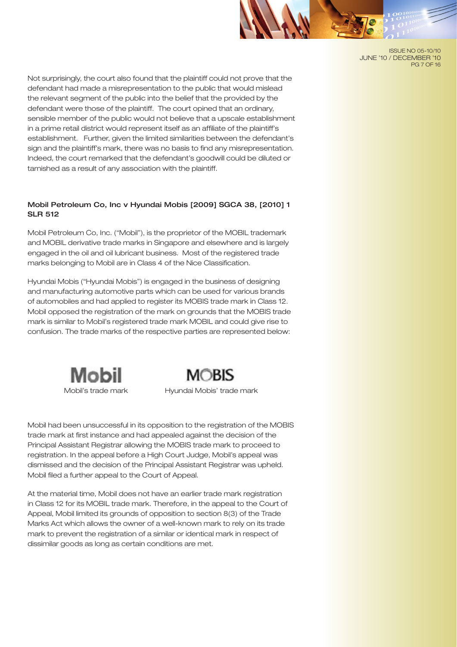

ISSUE NO 05-10/10 JUNE '10 / DECEMBER '10 PG 7 OF 16

Not surprisingly, the court also found that the plaintiff could not prove that the defendant had made a misrepresentation to the public that would mislead the relevant segment of the public into the belief that the provided by the defendant were those of the plaintiff. The court opined that an ordinary, sensible member of the public would not believe that a upscale establishment in a prime retail district would represent itself as an affiliate of the plaintiff's establishment. Further, given the limited similarities between the defendant's sign and the plaintiff's mark, there was no basis to find any misrepresentation. Indeed, the court remarked that the defendant's goodwill could be diluted or tarnished as a result of any association with the plaintiff.

# Mobil Petroleum Co, Inc v Hyundai Mobis [2009] SGCA 38, [2010] 1 SLR 512

Mobil Petroleum Co, Inc. ("Mobil"), is the proprietor of the MOBIL trademark and MOBIL derivative trade marks in Singapore and elsewhere and is largely engaged in the oil and oil lubricant business. Most of the registered trade marks belonging to Mobil are in Class 4 of the Nice Classification.

Hyundai Mobis ("Hyundai Mobis") is engaged in the business of designing and manufacturing automotive parts which can be used for various brands of automobiles and had applied to register its MOBIS trade mark in Class 12. Mobil opposed the registration of the mark on grounds that the MOBIS trade mark is similar to Mobil's registered trade mark MOBIL and could give rise to confusion. The trade marks of the respective parties are represented below:





Mobil's trade mark Hyundai Mobis' trade mark

Mobil had been unsuccessful in its opposition to the registration of the MOBIS trade mark at first instance and had appealed against the decision of the Principal Assistant Registrar allowing the MOBIS trade mark to proceed to registration. In the appeal before a High Court Judge, Mobil's appeal was dismissed and the decision of the Principal Assistant Registrar was upheld. Mobil filed a further appeal to the Court of Appeal.

At the material time, Mobil does not have an earlier trade mark registration in Class 12 for its MOBIL trade mark. Therefore, in the appeal to the Court of Appeal, Mobil limited its grounds of opposition to section 8(3) of the Trade Marks Act which allows the owner of a well-known mark to rely on its trade mark to prevent the registration of a similar or identical mark in respect of dissimilar goods as long as certain conditions are met.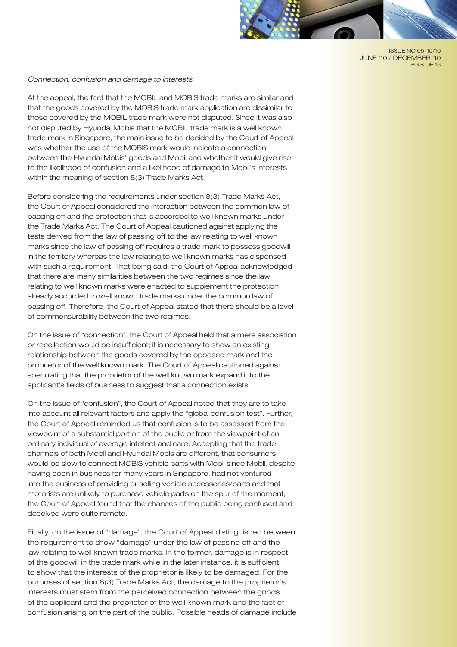

ISSUE NO 05-10/10 JUNE '10 / DECEMBER '10 PG 8 OF 16

#### *Connection, confusion and damage to interests*

At the appeal, the fact that the MOBIL and MOBIS trade marks are similar and that the goods covered by the MOBIS trade mark application are dissimilar to those covered by the MOBIL trade mark were not disputed. Since it was also not disputed by Hyundai Mobis that the MOBIL trade mark is a well known trade mark in Singapore, the main issue to be decided by the Court of Appeal was whether the use of the MOBIS mark would indicate a connection between the Hyundai Mobis' goods and Mobil and whether it would give rise to the likelihood of confusion and a likelihood of damage to Mobil's interests within the meaning of section 8(3) Trade Marks Act.

Before considering the requirements under section 8(3) Trade Marks Act, the Court of Appeal considered the interaction between the common law of passing off and the protection that is accorded to well known marks under the Trade Marks Act. The Court of Appeal cautioned against applying the tests derived from the law of passing off to the law relating to well known marks since the law of passing off requires a trade mark to possess goodwill in the territory whereas the law relating to well known marks has dispensed with such a requirement. That being said, the Court of Appeal acknowledged that there are many similarities between the two regimes since the law relating to well known marks were enacted to supplement the protection already accorded to well known trade marks under the common law of passing off. Therefore, the Court of Appeal stated that there should be a level of commensurability between the two regimes.

On the issue of "connection", the Court of Appeal held that a mere association or recollection would be insufficient; it is necessary to show an existing relationship between the goods covered by the opposed mark and the proprietor of the well known mark. The Court of Appeal cautioned against speculating that the proprietor of the well known mark expand into the applicant's fields of business to suggest that a connection exists.

On the issue of "confusion", the Court of Appeal noted that they are to take into account all relevant factors and apply the "global confusion test". Further, the Court of Appeal reminded us that confusion is to be assessed from the viewpoint of a substantial portion of the public or from the viewpoint of an ordinary individual of average intellect and care. Accepting that the trade channels of both Mobil and Hyundai Mobis are different, that consumers would be slow to connect MOBIS vehicle parts with Mobil since Mobil, despite having been in business for many years in Singapore, had not ventured into the business of providing or selling vehicle accessories/parts and that motorists are unlikely to purchase vehicle parts on the spur of the moment, the Court of Appeal found that the chances of the public being confused and deceived were quite remote.

Finally, on the issue of "damage", the Court of Appeal distinguished between the requirement to show "damage" under the law of passing off and the law relating to well known trade marks. In the former, damage is in respect of the goodwill in the trade mark while in the later instance, it is sufficient to show that the interests of the proprietor is likely to be damaged. For the purposes of section 8(3) Trade Marks Act, the damage to the proprietor's interests must stem from the perceived connection between the goods of the applicant and the proprietor of the well known mark and the fact of confusion arising on the part of the public. Possible heads of damage include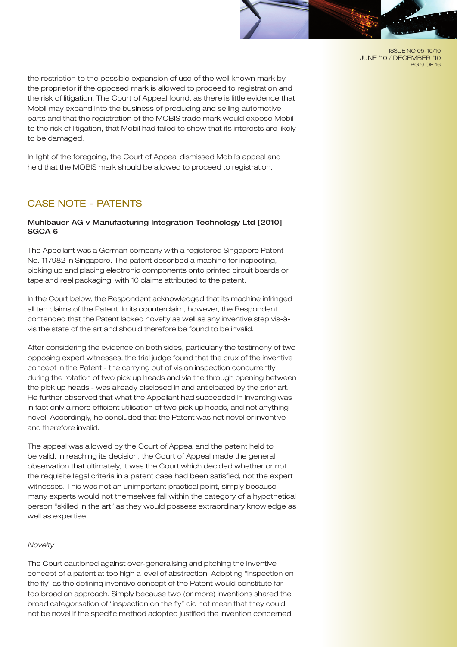ISSUE NO 05-10/10 JUNE '10 / DECEMBER '10 PG 9 OF 16

the restriction to the possible expansion of use of the well known mark by the proprietor if the opposed mark is allowed to proceed to registration and the risk of litigation. The Court of Appeal found, as there is little evidence that Mobil may expand into the business of producing and selling automotive parts and that the registration of the MOBIS trade mark would expose Mobil to the risk of litigation, that Mobil had failed to show that its interests are likely to be damaged.

In light of the foregoing, the Court of Appeal dismissed Mobil's appeal and held that the MOBIS mark should be allowed to proceed to registration.

# CASE NOTE - PATENTS

# Muhlbauer AG v Manufacturing Integration Technology Ltd [2010] SGCA 6

The Appellant was a German company with a registered Singapore Patent No. 117982 in Singapore. The patent described a machine for inspecting, picking up and placing electronic components onto printed circuit boards or tape and reel packaging, with 10 claims attributed to the patent.

In the Court below, the Respondent acknowledged that its machine infringed all ten claims of the Patent. In its counterclaim, however, the Respondent contended that the Patent lacked novelty as well as any inventive step vis-àvis the state of the art and should therefore be found to be invalid.

After considering the evidence on both sides, particularly the testimony of two opposing expert witnesses, the trial judge found that the crux of the inventive concept in the Patent - the carrying out of vision inspection concurrently during the rotation of two pick up heads and via the through opening between the pick up heads - was already disclosed in and anticipated by the prior art. He further observed that what the Appellant had succeeded in inventing was in fact only a more efficient utilisation of two pick up heads, and not anything novel. Accordingly, he concluded that the Patent was not novel or inventive and therefore invalid.

The appeal was allowed by the Court of Appeal and the patent held to be valid. In reaching its decision, the Court of Appeal made the general observation that ultimately, it was the Court which decided whether or not the requisite legal criteria in a patent case had been satisfied, not the expert witnesses. This was not an unimportant practical point, simply because many experts would not themselves fall within the category of a hypothetical person "skilled in the art" as they would possess extraordinary knowledge as well as expertise.

## *Novelty*

The Court cautioned against over-generalising and pitching the inventive concept of a patent at too high a level of abstraction. Adopting "inspection on the fly" as the defining inventive concept of the Patent would constitute far too broad an approach. Simply because two (or more) inventions shared the broad categorisation of "inspection on the fly" did not mean that they could not be novel if the specific method adopted justified the invention concerned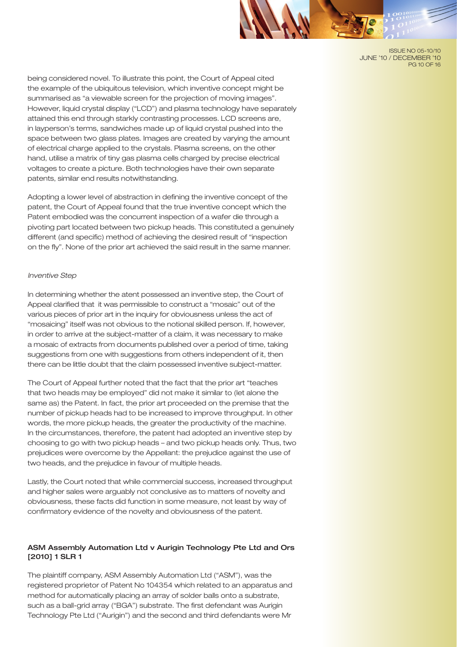

ISSUE NO 05-10/10 JUNE '10 / DECEMBER '10 PG 10 OF 16

being considered novel. To illustrate this point, the Court of Appeal cited the example of the ubiquitous television, which inventive concept might be summarised as "a viewable screen for the projection of moving images". However, liquid crystal display ("LCD") and plasma technology have separately attained this end through starkly contrasting processes. LCD screens are, in layperson's terms, sandwiches made up of liquid crystal pushed into the space between two glass plates. Images are created by varying the amount of electrical charge applied to the crystals. Plasma screens, on the other hand, utilise a matrix of tiny gas plasma cells charged by precise electrical voltages to create a picture. Both technologies have their own separate patents, similar end results notwithstanding.

Adopting a lower level of abstraction in defining the inventive concept of the patent, the Court of Appeal found that the true inventive concept which the Patent embodied was the concurrent inspection of a wafer die through a pivoting part located between two pickup heads. This constituted a genuinely different (and specific) method of achieving the desired result of "inspection on the fly". None of the prior art achieved the said result in the same manner.

#### *Inventive Step*

In determining whether the atent possessed an inventive step, the Court of Appeal clarified that it was permissible to construct a "mosaic" out of the various pieces of prior art in the inquiry for obviousness unless the act of "mosaicing" itself was not obvious to the notional skilled person. If, however, in order to arrive at the subject-matter of a claim, it was necessary to make a mosaic of extracts from documents published over a period of time, taking suggestions from one with suggestions from others independent of it, then there can be little doubt that the claim possessed inventive subject-matter.

The Court of Appeal further noted that the fact that the prior art "teaches that two heads may be employed" did not make it similar to (let alone the same as) the Patent. In fact, the prior art proceeded on the premise that the number of pickup heads had to be increased to improve throughput. In other words, the more pickup heads, the greater the productivity of the machine. In the circumstances, therefore, the patent had adopted an inventive step by choosing to go with two pickup heads – and two pickup heads only. Thus, two prejudices were overcome by the Appellant: the prejudice against the use of two heads, and the prejudice in favour of multiple heads.

Lastly, the Court noted that while commercial success, increased throughput and higher sales were arguably not conclusive as to matters of novelty and obviousness, these facts did function in some measure, not least by way of confirmatory evidence of the novelty and obviousness of the patent.

# ASM Assembly Automation Ltd v Aurigin Technology Pte Ltd and Ors [2010] 1 SLR 1

The plaintiff company, ASM Assembly Automation Ltd ("ASM"), was the registered proprietor of Patent No 104354 which related to an apparatus and method for automatically placing an array of solder balls onto a substrate, such as a ball-grid array ("BGA") substrate. The first defendant was Aurigin Technology Pte Ltd ("Aurigin") and the second and third defendants were Mr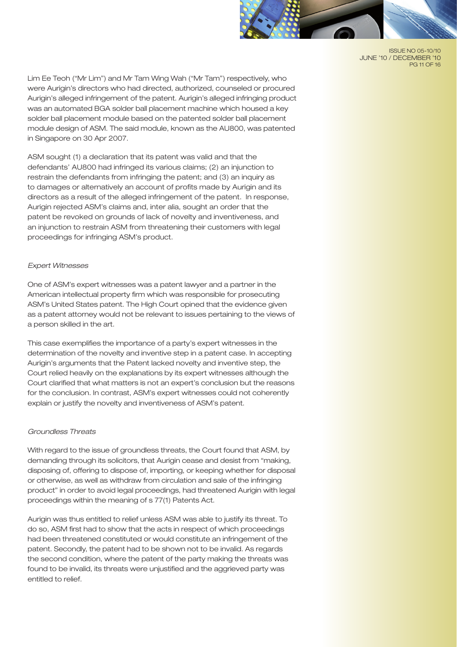

ISSUE NO 05-10/10 JUNE '10 / DECEMBER '10 PG 11 OF 16

Lim Ee Teoh ("Mr Lim") and Mr Tam Wing Wah ("Mr Tam") respectively, who were Aurigin's directors who had directed, authorized, counseled or procured Aurigin's alleged infringement of the patent. Aurigin's alleged infringing product was an automated BGA solder ball placement machine which housed a key solder ball placement module based on the patented solder ball placement module design of ASM. The said module, known as the AU800, was patented in Singapore on 30 Apr 2007.

ASM sought (1) a declaration that its patent was valid and that the defendants' AU800 had infringed its various claims; (2) an injunction to restrain the defendants from infringing the patent; and (3) an inquiry as to damages or alternatively an account of profits made by Aurigin and its directors as a result of the alleged infringement of the patent. In response, Aurigin rejected ASM's claims and, inter alia, sought an order that the patent be revoked on grounds of lack of novelty and inventiveness, and an injunction to restrain ASM from threatening their customers with legal proceedings for infringing ASM's product.

#### *Expert Witnesses*

One of ASM's expert witnesses was a patent lawyer and a partner in the American intellectual property firm which was responsible for prosecuting ASM's United States patent. The High Court opined that the evidence given as a patent attorney would not be relevant to issues pertaining to the views of a person skilled in the art.

This case exemplifies the importance of a party's expert witnesses in the determination of the novelty and inventive step in a patent case. In accepting Aurigin's arguments that the Patent lacked novelty and inventive step, the Court relied heavily on the explanations by its expert witnesses although the Court clarified that what matters is not an expert's conclusion but the reasons for the conclusion. In contrast, ASM's expert witnesses could not coherently explain or justify the novelty and inventiveness of ASM's patent.

## *Groundless Threats*

With regard to the issue of groundless threats, the Court found that ASM, by demanding through its solicitors, that Aurigin cease and desist from "making, disposing of, offering to dispose of, importing, or keeping whether for disposal or otherwise, as well as withdraw from circulation and sale of the infringing product" in order to avoid legal proceedings, had threatened Aurigin with legal proceedings within the meaning of s 77(1) Patents Act.

Aurigin was thus entitled to relief unless ASM was able to justify its threat. To do so, ASM first had to show that the acts in respect of which proceedings had been threatened constituted or would constitute an infringement of the patent. Secondly, the patent had to be shown not to be invalid. As regards the second condition, where the patent of the party making the threats was found to be invalid, its threats were unjustified and the aggrieved party was entitled to relief.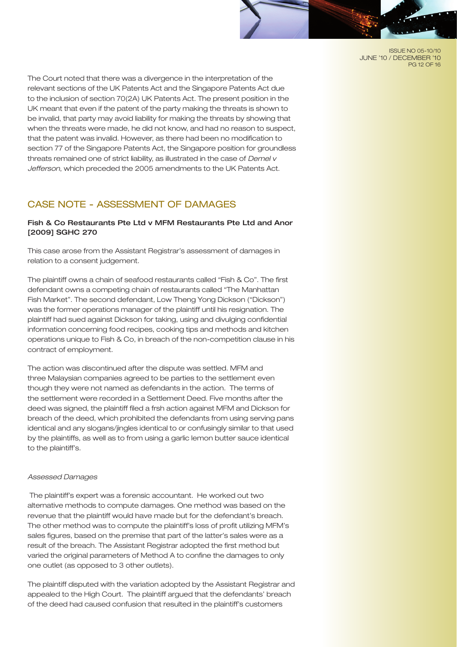ISSUE NO 05-10/10 JUNE '10 / DECEMBER '10 PG 12 OF 16

The Court noted that there was a divergence in the interpretation of the relevant sections of the UK Patents Act and the Singapore Patents Act due to the inclusion of section 70(2A) UK Patents Act. The present position in the UK meant that even if the patent of the party making the threats is shown to be invalid, that party may avoid liability for making the threats by showing that when the threats were made, he did not know, and had no reason to suspect, that the patent was invalid. However, as there had been no modification to section 77 of the Singapore Patents Act, the Singapore position for groundless threats remained one of strict liability, as illustrated in the case of *Demel v Jefferson*, which preceded the 2005 amendments to the UK Patents Act.

# CASE NOTE - ASSESSMENT OF DAMAGES

# Fish & Co Restaurants Pte Ltd v MFM Restaurants Pte Ltd and Anor [2009] SGHC 270

This case arose from the Assistant Registrar's assessment of damages in relation to a consent judgement.

The plaintiff owns a chain of seafood restaurants called "Fish & Co". The first defendant owns a competing chain of restaurants called "The Manhattan Fish Market". The second defendant, Low Theng Yong Dickson ("Dickson") was the former operations manager of the plaintiff until his resignation. The plaintiff had sued against Dickson for taking, using and divulging confidential information concerning food recipes, cooking tips and methods and kitchen operations unique to Fish & Co, in breach of the non-competition clause in his contract of employment.

The action was discontinued after the dispute was settled. MFM and three Malaysian companies agreed to be parties to the settlement even though they were not named as defendants in the action. The terms of the settlement were recorded in a Settlement Deed. Five months after the deed was signed, the plaintiff filed a frsh action against MFM and Dickson for breach of the deed, which prohibited the defendants from using serving pans identical and any slogans/jingles identical to or confusingly similar to that used by the plaintiffs, as well as to from using a garlic lemon butter sauce identical to the plaintiff's.

#### *Assessed Damages*

 The plaintiff's expert was a forensic accountant. He worked out two alternative methods to compute damages. One method was based on the revenue that the plaintiff would have made but for the defendant's breach. The other method was to compute the plaintiff's loss of profit utilizing MFM's sales figures, based on the premise that part of the latter's sales were as a result of the breach. The Assistant Registrar adopted the first method but varied the original parameters of Method A to confine the damages to only one outlet (as opposed to 3 other outlets).

The plaintiff disputed with the variation adopted by the Assistant Registrar and appealed to the High Court. The plaintiff argued that the defendants' breach of the deed had caused confusion that resulted in the plaintiff's customers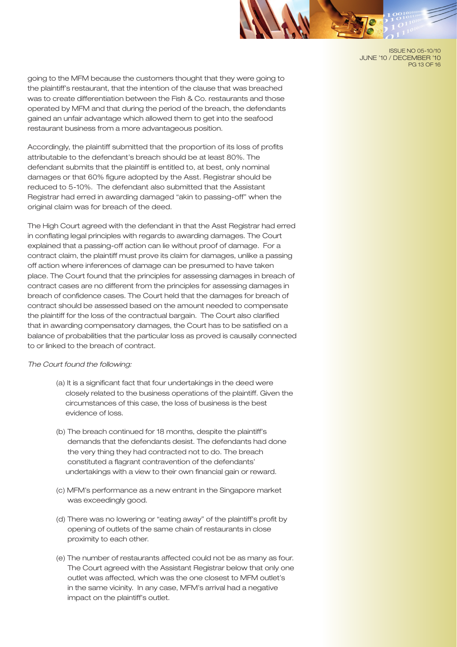ISSUE NO 05-10/10 JUNE '10 / DECEMBER '10 PG 13 OF 16

going to the MFM because the customers thought that they were going to the plaintiff's restaurant, that the intention of the clause that was breached was to create differentiation between the Fish & Co. restaurants and those operated by MFM and that during the period of the breach, the defendants gained an unfair advantage which allowed them to get into the seafood restaurant business from a more advantageous position.

Accordingly, the plaintiff submitted that the proportion of its loss of profits attributable to the defendant's breach should be at least 80%. The defendant submits that the plaintiff is entitled to, at best, only nominal damages or that 60% figure adopted by the Asst. Registrar should be reduced to 5-10%. The defendant also submitted that the Assistant Registrar had erred in awarding damaged "akin to passing-off" when the original claim was for breach of the deed.

The High Court agreed with the defendant in that the Asst Registrar had erred in conflating legal principles with regards to awarding damages. The Court explained that a passing-off action can lie without proof of damage. For a contract claim, the plaintiff must prove its claim for damages, unlike a passing off action where inferences of damage can be presumed to have taken place. The Court found that the principles for assessing damages in breach of contract cases are no different from the principles for assessing damages in breach of confidence cases. The Court held that the damages for breach of contract should be assessed based on the amount needed to compensate the plaintiff for the loss of the contractual bargain. The Court also clarified that in awarding compensatory damages, the Court has to be satisfied on a balance of probabilities that the particular loss as proved is causally connected to or linked to the breach of contract.

#### *The Court found the following:*

- (a) It is a significant fact that four undertakings in the deed were closely related to the business operations of the plaintiff. Given the circumstances of this case, the loss of business is the best evidence of loss.
- (b) The breach continued for 18 months, despite the plaintiff's demands that the defendants desist. The defendants had done the very thing they had contracted not to do. The breach constituted a flagrant contravention of the defendants' undertakings with a view to their own financial gain or reward.
- (c) MFM's performance as a new entrant in the Singapore market was exceedingly good.
- (d) There was no lowering or "eating away" of the plaintiff's profit by opening of outlets of the same chain of restaurants in close proximity to each other.
- (e) The number of restaurants affected could not be as many as four. The Court agreed with the Assistant Registrar below that only one outlet was affected, which was the one closest to MFM outlet's in the same vicinity. In any case, MFM's arrival had a negative impact on the plaintiff's outlet.